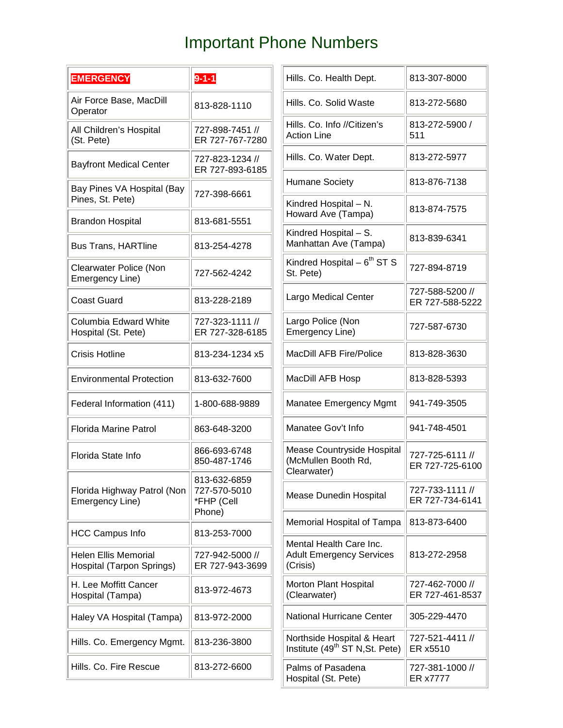## Important Phone Numbers

| <b>EMERGENCY</b>                                         | $9 - 1 - 1$                                | Hills. Co. Health Dept.                                                   | 813-307-8000                       |
|----------------------------------------------------------|--------------------------------------------|---------------------------------------------------------------------------|------------------------------------|
| Air Force Base, MacDill<br>Operator                      | 813-828-1110                               | Hills, Co. Solid Waste                                                    | 813-272-5680                       |
| All Children's Hospital<br>(St. Pete)                    | 727-898-7451 //<br>ER 727-767-7280         | Hills. Co. Info //Citizen's<br><b>Action Line</b>                         | 813-272-5900 /<br>511              |
| <b>Bayfront Medical Center</b>                           | 727-823-1234 //<br>ER 727-893-6185         | Hills. Co. Water Dept.                                                    | 813-272-5977                       |
| Bay Pines VA Hospital (Bay                               | 727-398-6661                               | <b>Humane Society</b>                                                     | 813-876-7138                       |
| Pines, St. Pete)<br><b>Brandon Hospital</b>              | 813-681-5551                               | Kindred Hospital - N.<br>Howard Ave (Tampa)                               | 813-874-7575                       |
| <b>Bus Trans, HARTline</b>                               | 813-254-4278                               | Kindred Hospital - S.<br>Manhattan Ave (Tampa)                            | 813-839-6341                       |
| Clearwater Police (Non<br>Emergency Line)                | 727-562-4242                               | Kindred Hospital $-6^{th}$ ST S<br>St. Pete)                              | 727-894-8719                       |
| <b>Coast Guard</b>                                       | 813-228-2189                               | Largo Medical Center                                                      | 727-588-5200 //<br>ER 727-588-5222 |
| Columbia Edward White<br>Hospital (St. Pete)             | 727-323-1111 //<br>ER 727-328-6185         | Largo Police (Non<br>Emergency Line)                                      | 727-587-6730                       |
| <b>Crisis Hotline</b>                                    | 813-234-1234 x5                            | <b>MacDill AFB Fire/Police</b>                                            | 813-828-3630                       |
| <b>Environmental Protection</b>                          | 813-632-7600                               | MacDill AFB Hosp                                                          | 813-828-5393                       |
| Federal Information (411)                                | 1-800-688-9889                             | Manatee Emergency Mgmt                                                    | 941-749-3505                       |
| <b>Florida Marine Patrol</b>                             | 863-648-3200                               | Manatee Gov't Info                                                        | 941-748-4501                       |
| Florida State Info                                       | 866-693-6748<br>850-487-1746               | Mease Countryside Hospital<br>(McMullen Booth Rd,<br>Clearwater)          | 727-725-6111 //<br>ER 727-725-6100 |
| Florida Highway Patrol (Non<br>Emergency Line)           | 813-632-6859<br>727-570-5010<br>*FHP (Cell | <b>Mease Dunedin Hospital</b>                                             | 727-733-1111 //<br>ER 727-734-6141 |
| <b>HCC Campus Info</b>                                   | Phone)<br>813-253-7000                     | Memorial Hospital of Tampa                                                | 813-873-6400                       |
| <b>Helen Ellis Memorial</b><br>Hospital (Tarpon Springs) | 727-942-5000 //<br>ER 727-943-3699         | Mental Health Care Inc.<br><b>Adult Emergency Services</b><br>(Crisis)    | 813-272-2958                       |
| H. Lee Moffitt Cancer<br>Hospital (Tampa)                | 813-972-4673                               | Morton Plant Hospital<br>(Clearwater)                                     | 727-462-7000 //<br>ER 727-461-8537 |
| Haley VA Hospital (Tampa)                                | 813-972-2000                               | National Hurricane Center                                                 | 305-229-4470                       |
| Hills. Co. Emergency Mgmt.                               | 813-236-3800                               | Northside Hospital & Heart<br>Institute (49 <sup>th</sup> ST N, St. Pete) | 727-521-4411 //<br>ER x5510        |
| Hills. Co. Fire Rescue                                   | 813-272-6600                               | Palms of Pasadena<br>Hospital (St. Pete)                                  | 727-381-1000 //<br>ER x7777        |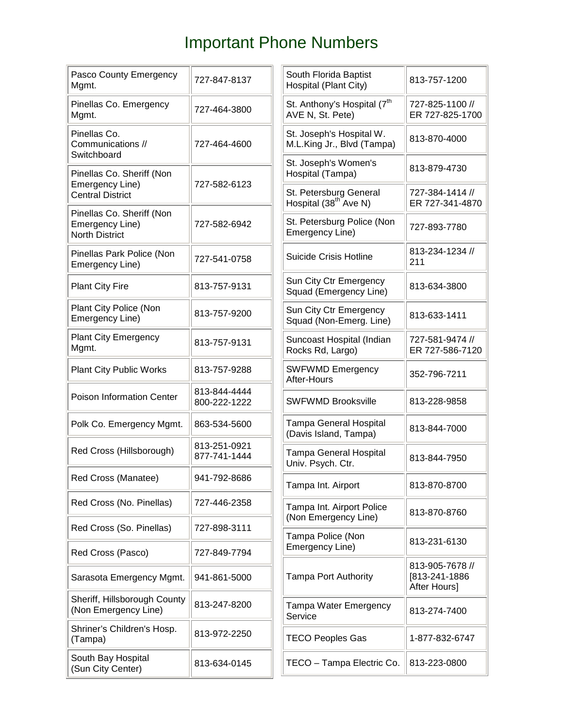## Important Phone Numbers

| Pasco County Emergency<br>Mgmt.                                       | 727-847-8137                 | South Florida Baptist<br>Hospital (Plant City)              | 813-757-1200                       |
|-----------------------------------------------------------------------|------------------------------|-------------------------------------------------------------|------------------------------------|
| Pinellas Co. Emergency<br>Mgmt.                                       | 727-464-3800                 | St. Anthony's Hospital (7 <sup>th</sup><br>AVE N, St. Pete) | 727-825-1100 //<br>ER 727-825-1700 |
| Pinellas Co.<br>Communications //<br>Switchboard                      | 727-464-4600                 | St. Joseph's Hospital W.<br>M.L.King Jr., Blvd (Tampa)      | 813-870-4000                       |
| Pinellas Co. Sheriff (Non                                             |                              | St. Joseph's Women's<br>Hospital (Tampa)                    | 813-879-4730                       |
| Emergency Line)<br><b>Central District</b>                            | 727-582-6123                 | St. Petersburg General<br>Hospital (38 <sup>th Ave N)</sup> | 727-384-1414 //<br>ER 727-341-4870 |
| Pinellas Co. Sheriff (Non<br>Emergency Line)<br><b>North District</b> | 727-582-6942                 | St. Petersburg Police (Non<br>Emergency Line)               | 727-893-7780                       |
| Pinellas Park Police (Non<br>Emergency Line)                          | 727-541-0758                 | Suicide Crisis Hotline                                      | 813-234-1234 //<br>211             |
| <b>Plant City Fire</b>                                                | 813-757-9131                 | Sun City Ctr Emergency<br>Squad (Emergency Line)            | 813-634-3800                       |
| Plant City Police (Non<br>Emergency Line)                             | 813-757-9200                 | Sun City Ctr Emergency<br>Squad (Non-Emerg. Line)           | 813-633-1411                       |
| <b>Plant City Emergency</b><br>Mgmt.                                  | 813-757-9131                 | Suncoast Hospital (Indian<br>Rocks Rd, Largo)               | 727-581-9474 //<br>ER 727-586-7120 |
| <b>Plant City Public Works</b>                                        | 813-757-9288                 | <b>SWFWMD Emergency</b><br>After-Hours                      | 352-796-7211                       |
| Poison Information Center                                             | 813-844-4444<br>800-222-1222 | <b>SWFWMD Brooksville</b>                                   | 813-228-9858                       |
| Polk Co. Emergency Mgmt.                                              | 863-534-5600                 | <b>Tampa General Hospital</b><br>(Davis Island, Tampa)      | 813-844-7000                       |
| Red Cross (Hillsborough)                                              | 813-251-0921<br>877-741-1444 | <b>Tampa General Hospital</b><br>Univ. Psych. Ctr.          | 813-844-7950                       |
| Red Cross (Manatee)                                                   | 941-792-8686                 | Tampa Int. Airport                                          | 813-870-8700                       |
| Red Cross (No. Pinellas)                                              | 727-446-2358                 | Tampa Int. Airport Police<br>(Non Emergency Line)           | 813-870-8760                       |
| Red Cross (So. Pinellas)                                              | 727-898-3111                 | Tampa Police (Non<br>Emergency Line)                        | 813-231-6130                       |
| Red Cross (Pasco)                                                     | 727-849-7794                 |                                                             | 813-905-7678 //                    |
| Sarasota Emergency Mgmt.                                              | 941-861-5000                 | <b>Tampa Port Authority</b>                                 | [813-241-1886<br>After Hours]      |
| Sheriff, Hillsborough County<br>(Non Emergency Line)                  | 813-247-8200                 | Tampa Water Emergency<br>Service                            | 813-274-7400                       |
| Shriner's Children's Hosp.<br>(Tampa)                                 | 813-972-2250                 | <b>TECO Peoples Gas</b>                                     | 1-877-832-6747                     |
| South Bay Hospital<br>(Sun City Center)                               | 813-634-0145                 | TECO - Tampa Electric Co.                                   | 813-223-0800                       |